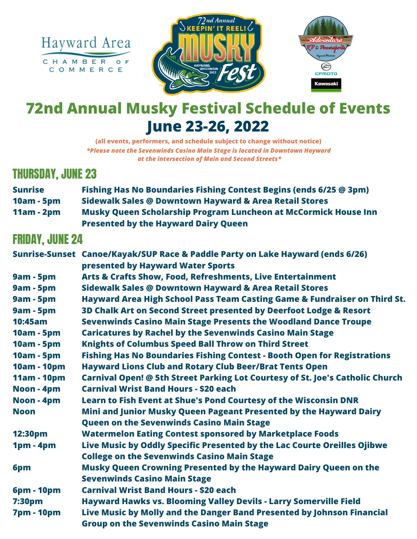





# **72nd Annual Musky Festival Schedule of Events June 23-26, 2022**

**(all events, performers, and schedule subject to change without notice)** *\*Please note the Sevenwinds Casino Main Stage is located in Downtown Hayward at the intersection of Main and Second Streets\**

### THURSDAY, JUNE 23

| <b>Sunrise</b>    | <b>Fishing Has No Boundaries Fishing Contest Begins (ends 6/25 @ 3pm)</b> |
|-------------------|---------------------------------------------------------------------------|
| <b>10am - 5pm</b> | Sidewalk Sales @ Downtown Hayward & Area Retail Stores                    |
| $11am - 2pm$      | Musky Queen Scholarship Program Luncheon at McCormick House Inn           |
|                   | <b>Presented by the Hayward Dairy Queen</b>                               |

### FRIDAY, JUNE 24

|                   | Sunrise-Sunset Canoe/Kayak/SUP Race & Paddle Party on Lake Hayward (ends 6/26)       |
|-------------------|--------------------------------------------------------------------------------------|
|                   | presented by Hayward Water Sports                                                    |
| <b>9am - 5pm</b>  | <b>Arts &amp; Crafts Show, Food, Refreshments, Live Entertainment</b>                |
| <b>9am - 5pm</b>  | <b>Sidewalk Sales @ Downtown Hayward &amp; Area Retail Stores</b>                    |
| <b>9am - 5pm</b>  | Hayward Area High School Pass Team Casting Game & Fundraiser on Third St.            |
| <b>9am - 5pm</b>  | 3D Chalk Art on Second Street presented by Deerfoot Lodge & Resort                   |
| <b>10:45am</b>    | <b>Sevenwinds Casino Main Stage Presents the Woodland Dance Troupe</b>               |
| <b>10am - 5pm</b> | <b>Caricatures by Rachel by the Sevenwinds Casino Main Stage</b>                     |
| <b>10am - 5pm</b> | <b>Knights of Columbus Speed Ball Throw on Third Street</b>                          |
| <b>10am - 5pm</b> | <b>Fishing Has No Boundaries Fishing Contest - Booth Open for Registrations</b>      |
| 10am - 10pm       | <b>Hayward Lions Club and Rotary Club Beer/Brat Tents Open</b>                       |
| 11am - 10pm       | <b>Carnival Open! @ 5th Street Parking Lot Courtesy of St. Joe's Catholic Church</b> |
| Noon - 4pm        | <b>Carnival Wrist Band Hours - \$20 each</b>                                         |
| Noon - 4pm        | Learn to Fish Event at Shue's Pond Courtesy of the Wisconsin DNR                     |
| <b>Noon</b>       | Mini and Junior Musky Queen Pageant Presented by the Hayward Dairy                   |
|                   | <b>Queen on the Sevenwinds Casino Main Stage</b>                                     |
| <b>12:30pm</b>    | <b>Watermelon Eating Contest sponsored by Marketplace Foods</b>                      |
| $1pm - 4pm$       | Live Music by Oddly Specific Presented by the Lac Courte Oreilles Ojibwe             |
|                   | <b>College on the Sevenwinds Casino Main Stage</b>                                   |
| 6pm               | Musky Queen Crowning Presented by the Hayward Dairy Queen on the                     |
|                   | <b>Sevenwinds Casino Main Stage</b>                                                  |
| <b>6pm - 10pm</b> | <b>Carnival Wrist Band Hours - \$20 each</b>                                         |
| <b>7:30pm</b>     | <b>Hayward Hawks vs. Blooming Valley Devils - Larry Somerville Field</b>             |
| <b>7pm - 10pm</b> | Live Music by Molly and the Danger Band Presented by Johnson Financial               |
|                   | <b>Group on the Sevenwinds Casino Main Stage</b>                                     |